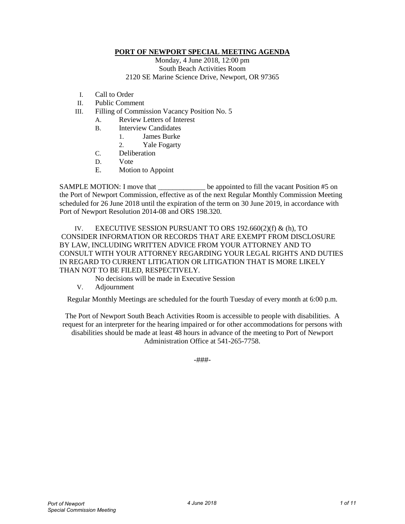## **PORT OF NEWPORT SPECIAL MEETING AGENDA**

Monday, 4 June 2018, 12:00 pm South Beach Activities Room 2120 SE Marine Science Drive, Newport, OR 97365

- I. Call to Order
- II. Public Comment
- III. Filling of Commission Vacancy Position No. 5
	- A. Review Letters of Interest
	- B. Interview Candidates
		- 1. James Burke
		- 2. Yale Fogarty
	- C. Deliberation
	- D. Vote
	- E. Motion to Appoint

SAMPLE MOTION: I move that \_\_\_\_\_\_\_\_\_\_\_\_\_ be appointed to fill the vacant Position #5 on the Port of Newport Commission, effective as of the next Regular Monthly Commission Meeting scheduled for 26 June 2018 until the expiration of the term on 30 June 2019, in accordance with Port of Newport Resolution 2014-08 and ORS 198.320.

IV. EXECUTIVE SESSION PURSUANT TO ORS  $192.660(2)(f)$  & (h), TO CONSIDER INFORMATION OR RECORDS THAT ARE EXEMPT FROM DISCLOSURE BY LAW, INCLUDING WRITTEN ADVICE FROM YOUR ATTORNEY AND TO CONSULT WITH YOUR ATTORNEY REGARDING YOUR LEGAL RIGHTS AND DUTIES IN REGARD TO CURRENT LITIGATION OR LITIGATION THAT IS MORE LIKELY THAN NOT TO BE FILED, RESPECTIVELY.

No decisions will be made in Executive Session

V. Adjournment

Regular Monthly Meetings are scheduled for the fourth Tuesday of every month at 6:00 p.m.

The Port of Newport South Beach Activities Room is accessible to people with disabilities. A request for an interpreter for the hearing impaired or for other accommodations for persons with disabilities should be made at least 48 hours in advance of the meeting to Port of Newport Administration Office at 541-265-7758.

-###-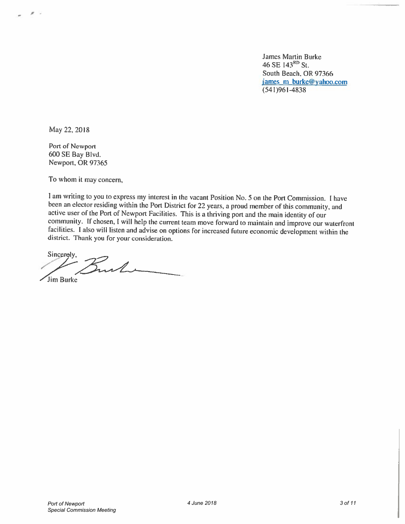James Martin Burke 46 SE 143<sup>RD</sup> St. South Beach, OR 97366 james m burke@yahoo.com  $(541)961 - 4838$ 

May 22, 2018

Port of Newport 600 SE Bay Blvd. Newport, OR 97365

To whom it may concern,

I am writing to you to express my interest in the vacant Position No. 5 on the Port Commission. I have been an elector residing within the Port District for 22 years, a proud member of this community, and active user of the Port of Newport Facilities. This is a thriving port and the main identity of our community. If chosen, I will help the current team move forward to maintain and improve our waterfront facilities. I also will listen and advise on options for increased future economic development within the district. Thank you for your consideration.

Sincerely, il

Jim Burke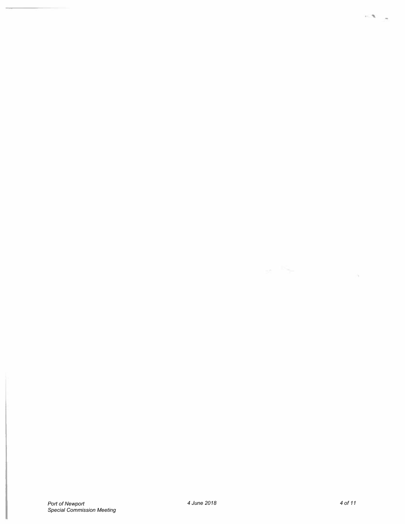s.

 $<\infty$  .  $\Box$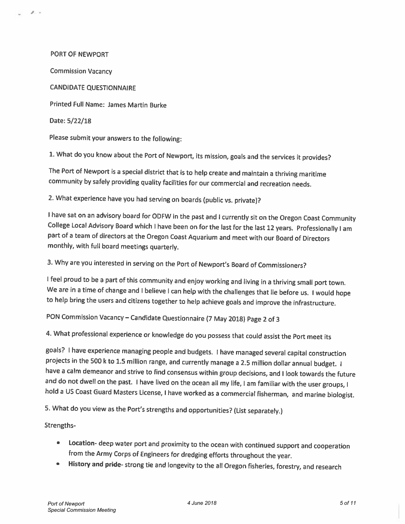PORT OF NEWPORT **Commission Vacancy CANDIDATE QUESTIONNAIRE** Printed Full Name: James Martin Burke Date: 5/22/18 Please submit your answers to the following:

1. What do you know about the Port of Newport, its mission, goals and the services it provides?

The Port of Newport is a special district that is to help create and maintain a thriving maritime community by safely providing quality facilities for our commercial and recreation needs.

2. What experience have you had serving on boards (public vs. private)?

I have sat on an advisory board for ODFW in the past and I currently sit on the Oregon Coast Community College Local Advisory Board which I have been on for the last for the last 12 years. Professionally I am part of a team of directors at the Oregon Coast Aquarium and meet with our Board of Directors monthly, with full board meetings quarterly.

3. Why are you interested in serving on the Port of Newport's Board of Commissioners?

I feel proud to be a part of this community and enjoy working and living in a thriving small port town. We are in a time of change and I believe I can help with the challenges that lie before us. I would hope to help bring the users and citizens together to help achieve goals and improve the infrastructure.

PON Commission Vacancy - Candidate Questionnaire (7 May 2018) Page 2 of 3

4. What professional experience or knowledge do you possess that could assist the Port meet its

goals? I have experience managing people and budgets. I have managed several capital construction projects in the 500 k to 1.5 million range, and currently manage a 2.5 million dollar annual budget. I have a calm demeanor and strive to find consensus within group decisions, and I look towards the future and do not dwell on the past. I have lived on the ocean all my life, I am familiar with the user groups, I hold a US Coast Guard Masters License, I have worked as a commercial fisherman, and marine biologist.

5. What do you view as the Port's strengths and opportunities? (List separately.)

Strengths-

- Location- deep water port and proximity to the ocean with continued support and cooperation  $\bullet$ from the Army Corps of Engineers for dredging efforts throughout the year.
- History and pride- strong tie and longevity to the all Oregon fisheries, forestry, and research  $\bullet$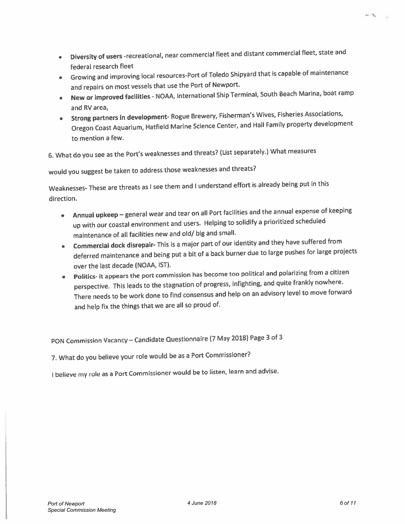- . Diversity of users -recreational, near commercial fleet and distant commercial fleet, state and federal research fleet
- Growing and improving local resources-Port of Toledo Shipyard that is capable of maintenance and repairs on most vessels that use the Port of Newport.
- . New or improved facilities NOAA, International Ship Terminal, South Beach Marina, boat ramp and RV area,
- Strong partners in development- Rogue Brewery, Fisherman's Wives, Fisheries Associations, Oregon Coast Aquarium, Hatfield Marine Science Center, and Hall Family property development to mention a few.

6. What do you see as the Port's weaknesses and threats? (List separately.) What measures

would you suggest be taken to address those weaknesses and threats?

Weaknesses- These are threats as I see them and I understand effort is already being put in this direction.

- Annual upkeep general wear and tear on all Port facilities and the annual expense of keeping up with our coastal environment and users. Helping to solidify a prioritized scheduled maintenance of all facilities new and old/ big and small.
- . Commercial dock disrepair- This is a major part of our identity and they have suffered from deferred maintenance and being put a bit of a back burner due to large pushes for large projects over the last decade (NOAA, IST).
- Politics- it appears the port commission has become too political and polarizing from a citizen  $\bullet$ perspective. This leads to the stagnation of progress, infighting, and quite frankly nowhere. There needs to be work done to find consensus and help on an advisory level to move forward and help fix the things that we are all so proud of.

PON Commission Vacancy - Candidate Questionnaire (7 May 2018) Page 3 of 3

7. What do you believe your role would be as a Port Commissioner?

I believe my role as a Port Commissioner would be to listen, learn and advise.

 $\mathcal{F}$  on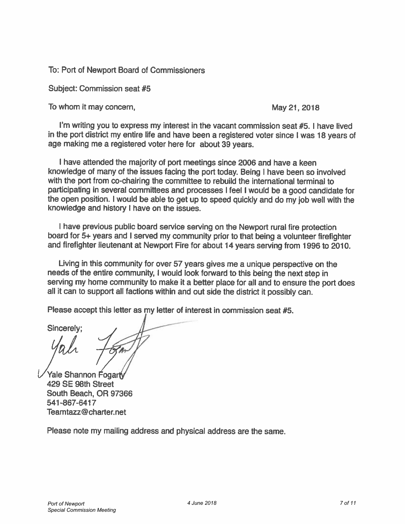To: Port of Newport Board of Commissioners

Subject: Commission seat #5

To whom it may concern,

May 21, 2018

I'm writing you to express my interest in the vacant commission seat #5. I have lived in the port district my entire life and have been a registered voter since I was 18 years of age making me a registered voter here for about 39 years.

I have attended the majority of port meetings since 2006 and have a keen knowledge of many of the issues facing the port today. Being I have been so involved with the port from co-chairing the committee to rebuild the international terminal to participating in several committees and processes I feel I would be a good candidate for the open position. I would be able to get up to speed quickly and do my job well with the knowledge and history I have on the issues.

I have previous public board service serving on the Newport rural fire protection board for 5+ years and I served my community prior to that being a volunteer firefighter and firefighter lieutenant at Newport Fire for about 14 years serving from 1996 to 2010.

Living in this community for over 57 years gives me a unique perspective on the needs of the entire community, I would look forward to this being the next step in serving my home community to make it a better place for all and to ensure the port does all it can to support all factions within and out side the district it possibly can.

Please accept this letter as my letter of interest in commission seat #5.

Sincerely:

Yale Shannon Fogar 429 SE 98th Street South Beach, OR 97366 541-867-6417 Teamtazz@charter.net

Please note my mailing address and physical address are the same.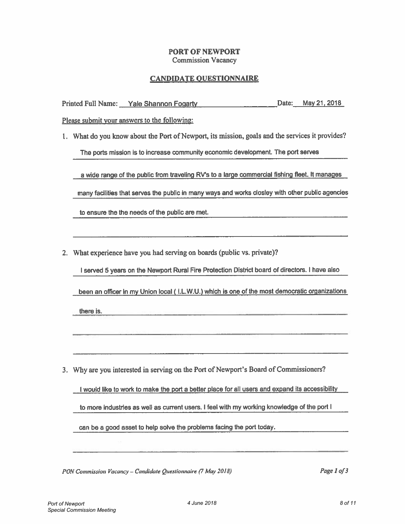## **PORT OF NEWPORT Commission Vacancy**

## **CANDIDATE QUESTIONNAIRE**

Printed Full Name: Yale Shannon Fogarty Date: May 21, 2018

Please submit your answers to the following:

1. What do you know about the Port of Newport, its mission, goals and the services it provides?

The ports mission is to increase community economic development. The port serves

a wide range of the public from traveling RV's to a large commercial fishing fleet. It manages

many facilities that serves the public in many ways and works closley with other public agencies

to ensure the the needs of the public are met.

2. What experience have you had serving on boards (public vs. private)?

I served 5 years on the Newport Rural Fire Protection District board of directors. I have also

been an officer in my Union local ( I.L.W.U.) which is one of the most democratic organizations

there is.

3. Why are you interested in serving on the Port of Newport's Board of Commissioners?

I would like to work to make the port a better place for all users and expand its accessibility

to more industries as well as current users. I feel with my working knowledge of the port I

can be a good asset to help solve the problems facing the port today.

PON Commission Vacancy - Candidate Questionnaire (7 May 2018)

Page 1 of 3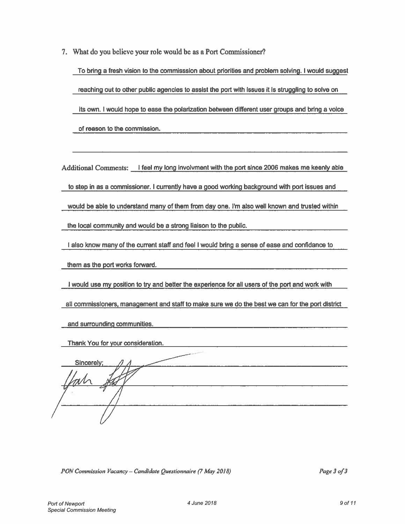7. What do you believe your role would be as a Port Commissioner?

To bring a fresh vision to the commisssion about priorities and problem solving. I would suggest reaching out to other public agencies to assist the port with issues it is struggling to solve on its own. I would hope to ease the polarization between different user groups and bring a voice of reason to the commission.

Additional Comments: I feel my long involvment with the port since 2006 makes me keenly able

to step in as a commissioner. I currently have a good working background with port issues and

would be able to understand many of them from day one. I'm also well known and trusted within

the local community and would be a strong liaison to the public.

I also know many of the current staff and feel I would bring a sense of ease and confidance to

them as the port works forward.

I would use my position to try and better the experience for all users of the port and work with

all commissioners, management and staff to make sure we do the best we can for the port district

and surrounding communities.

Thank You for your consideration.

| Sincerely; | <b>Selection</b> |        |  |
|------------|------------------|--------|--|
|            |                  |        |  |
|            |                  |        |  |
|            |                  | .<br>. |  |
|            |                  |        |  |

PON Commission Vacancy - Candidate Questionnaire (7 May 2018)